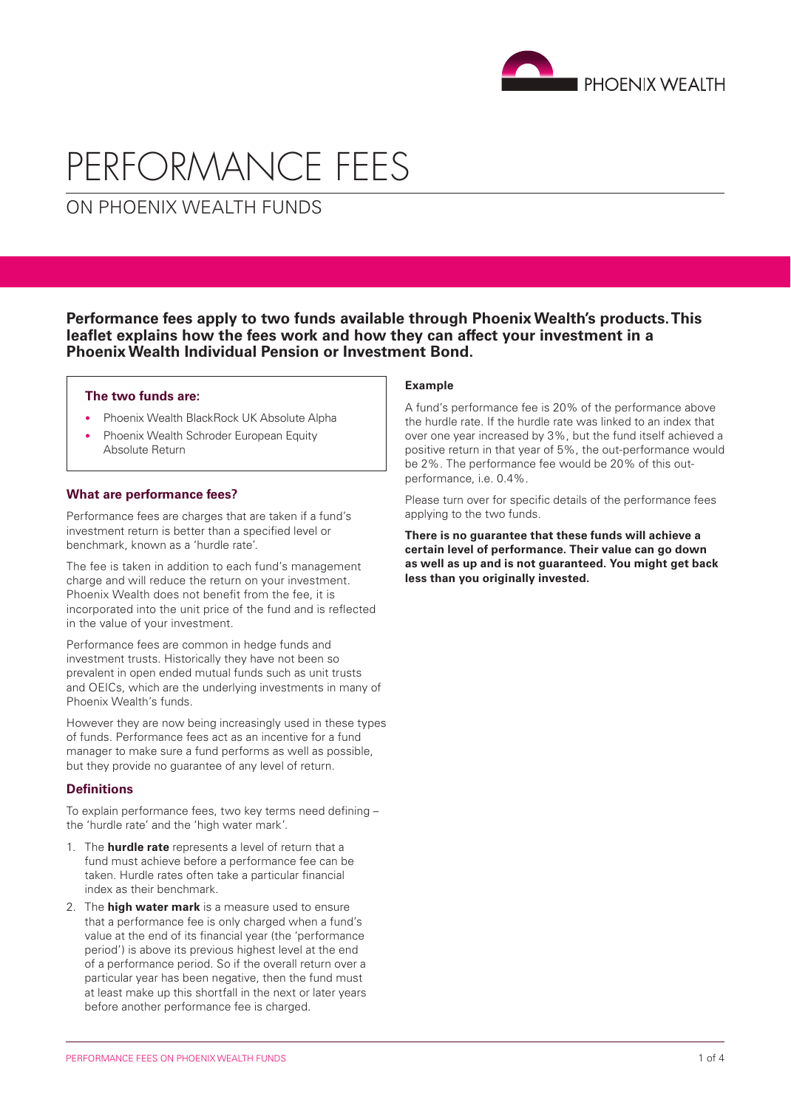

# PERFORMANCE FEES

ON PHOENIX WEALTH FUNDS

**Performance fees apply to two funds available through Phoenix Wealth's products. This leaflet explains how the fees work and how they can affect your investment in a Phoenix Wealth Individual Pension or Investment Bond.**

#### **The two funds are:**

- Phoenix Wealth BlackRock UK Absolute Alpha
- Phoenix Wealth Schroder European Equity Absolute Return

# **What are performance fees?**

Performance fees are charges that are taken if a fund's investment return is better than a specified level or benchmark, known as a 'hurdle rate'.

The fee is taken in addition to each fund's management charge and will reduce the return on your investment. Phoenix Wealth does not benefit from the fee, it is incorporated into the unit price of the fund and is reflected in the value of your investment.

Performance fees are common in hedge funds and investment trusts. Historically they have not been so prevalent in open ended mutual funds such as unit trusts and OEICs, which are the underlying investments in many of Phoenix Wealth's funds.

However they are now being increasingly used in these types of funds. Performance fees act as an incentive for a fund manager to make sure a fund performs as well as possible, but they provide no guarantee of any level of return.

# **Definitions**

To explain performance fees, two key terms need defining – the 'hurdle rate' and the 'high water mark'.

- 1. The **hurdle rate** represents a level of return that a fund must achieve before a performance fee can be taken. Hurdle rates often take a particular financial index as their benchmark.
- 2. The **high water mark** is a measure used to ensure that a performance fee is only charged when a fund's value at the end of its financial year (the 'performance period') is above its previous highest level at the end of a performance period. So if the overall return over a particular year has been negative, then the fund must at least make up this shortfall in the next or later years before another performance fee is charged.

#### **Example**

A fund's performance fee is 20% of the performance above the hurdle rate. If the hurdle rate was linked to an index that over one year increased by 3%, but the fund itself achieved a positive return in that year of 5%, the out-performance would be 2%. The performance fee would be 20% of this outperformance, i.e. 0.4%.

Please turn over for specific details of the performance fees applying to the two funds.

**There is no guarantee that these funds will achieve a certain level of performance. Their value can go down as well as up and is not guaranteed. You might get back less than you originally invested.**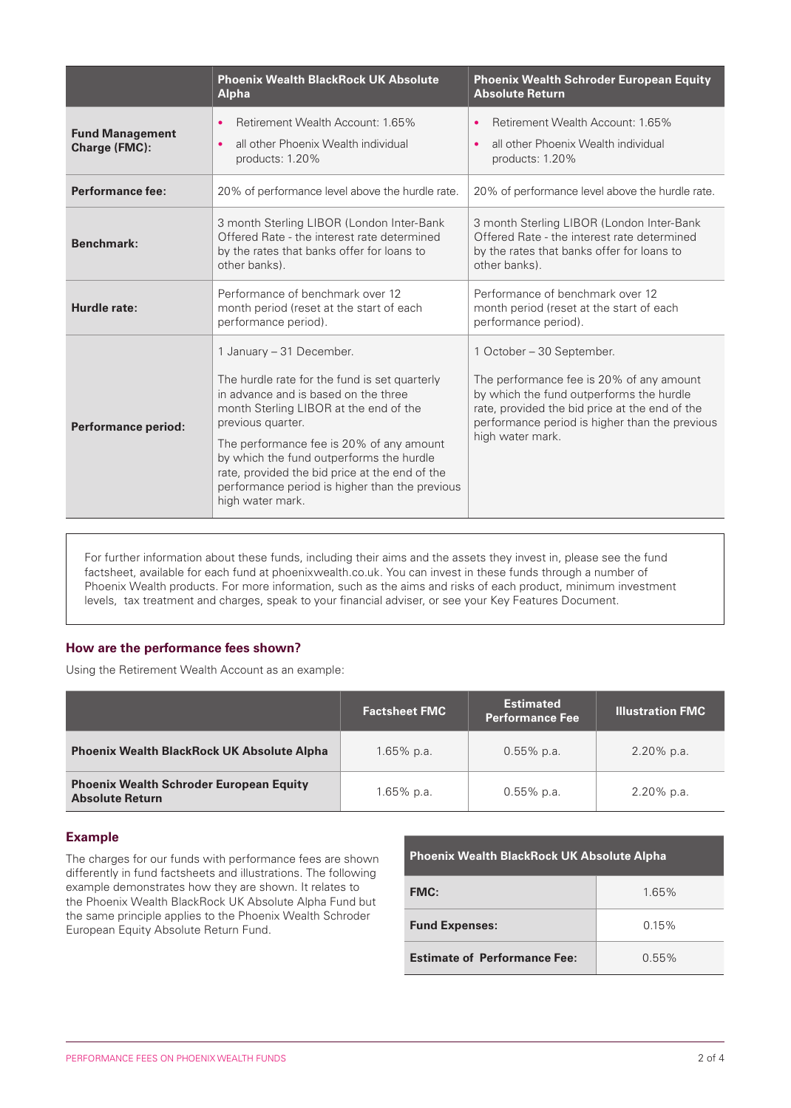|                                         | <b>Phoenix Wealth BlackRock UK Absolute</b><br><b>Alpha</b>                                                                                                                                                                                                                                                                                                                                      | <b>Phoenix Wealth Schroder European Equity</b><br><b>Absolute Return</b>                                                                                                                                                                  |
|-----------------------------------------|--------------------------------------------------------------------------------------------------------------------------------------------------------------------------------------------------------------------------------------------------------------------------------------------------------------------------------------------------------------------------------------------------|-------------------------------------------------------------------------------------------------------------------------------------------------------------------------------------------------------------------------------------------|
| <b>Fund Management</b><br>Charge (FMC): | Retirement Wealth Account: 1.65%<br>$\bullet$<br>all other Phoenix Wealth individual<br>$\bullet$<br>products: 1.20%                                                                                                                                                                                                                                                                             | Retirement Wealth Account: 1.65%<br>٠<br>all other Phoenix Wealth individual<br>$\bullet$<br>products: 1.20%                                                                                                                              |
| Performance fee:                        | 20% of performance level above the hurdle rate.                                                                                                                                                                                                                                                                                                                                                  | 20% of performance level above the hurdle rate.                                                                                                                                                                                           |
| Benchmark:                              | 3 month Sterling LIBOR (London Inter-Bank<br>Offered Rate - the interest rate determined<br>by the rates that banks offer for loans to<br>other banks).                                                                                                                                                                                                                                          | 3 month Sterling LIBOR (London Inter-Bank<br>Offered Rate - the interest rate determined<br>by the rates that banks offer for loans to<br>other banks).                                                                                   |
| Hurdle rate:                            | Performance of benchmark over 12<br>month period (reset at the start of each<br>performance period).                                                                                                                                                                                                                                                                                             | Performance of benchmark over 12<br>month period (reset at the start of each<br>performance period).                                                                                                                                      |
| <b>Performance period:</b>              | 1 January - 31 December.<br>The hurdle rate for the fund is set quarterly<br>in advance and is based on the three<br>month Sterling LIBOR at the end of the<br>previous quarter.<br>The performance fee is 20% of any amount<br>by which the fund outperforms the hurdle<br>rate, provided the bid price at the end of the<br>performance period is higher than the previous<br>high water mark. | 1 October – 30 September.<br>The performance fee is 20% of any amount<br>by which the fund outperforms the hurdle<br>rate, provided the bid price at the end of the<br>performance period is higher than the previous<br>high water mark. |

For further information about these funds, including their aims and the assets they invest in, please see the fund factsheet, available for each fund at phoenixwealth.co.uk. You can invest in these funds through a number of Phoenix Wealth products. For more information, such as the aims and risks of each product, minimum investment levels, tax treatment and charges, speak to your financial adviser, or see your Key Features Document.

# **How are the performance fees shown?**

Using the Retirement Wealth Account as an example:

|                                                                          | <b>Factsheet FMC</b> | <b>Estimated</b><br><b>Performance Fee</b> | <b>Illustration FMC</b> |
|--------------------------------------------------------------------------|----------------------|--------------------------------------------|-------------------------|
| Phoenix Wealth BlackRock UK Absolute Alpha                               | $1.65\%$ p.a.        | $0.55\%$ p.a.                              | $2.20\%$ p.a.           |
| <b>Phoenix Wealth Schroder European Equity</b><br><b>Absolute Return</b> | $1.65\%$ p.a.        | $0.55\%$ p.a.                              | $2.20\%$ p.a.           |

# **Example**

The charges for our funds with performance fees are shown differently in fund factsheets and illustrations. The following example demonstrates how they are shown. It relates to the Phoenix Wealth BlackRock UK Absolute Alpha Fund but the same principle applies to the Phoenix Wealth Schroder European Equity Absolute Return Fund.

| <b>Phoenix Wealth BlackRock UK Absolute Alpha</b> |          |  |  |
|---------------------------------------------------|----------|--|--|
| <b>FMC:</b>                                       | 1.65%    |  |  |
| <b>Fund Expenses:</b>                             | 0.15%    |  |  |
| <b>Estimate of Performance Fee:</b>               | $0.55\%$ |  |  |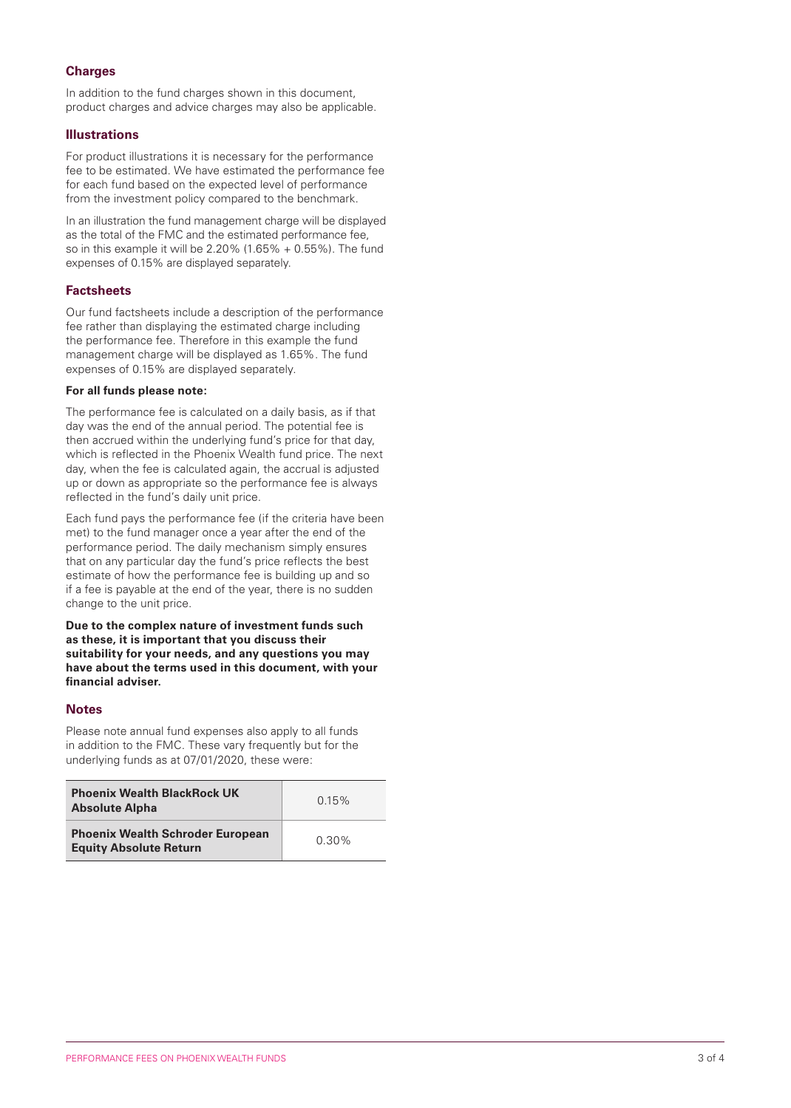# **Charges**

In addition to the fund charges shown in this document. product charges and advice charges may also be applicable.

# **Illustrations**

For product illustrations it is necessary for the performance fee to be estimated. We have estimated the performance fee for each fund based on the expected level of performance from the investment policy compared to the benchmark.

In an illustration the fund management charge will be displayed as the total of the FMC and the estimated performance fee, so in this example it will be  $2.20\%$  (1.65% + 0.55%). The fund expenses of 0.15% are displayed separately.

# **Factsheets**

Our fund factsheets include a description of the performance fee rather than displaying the estimated charge including the performance fee. Therefore in this example the fund management charge will be displayed as 1.65%. The fund expenses of 0.15% are displayed separately.

#### **For all funds please note:**

The performance fee is calculated on a daily basis, as if that day was the end of the annual period. The potential fee is then accrued within the underlying fund's price for that day, which is reflected in the Phoenix Wealth fund price. The next day, when the fee is calculated again, the accrual is adjusted up or down as appropriate so the performance fee is always reflected in the fund's daily unit price.

Each fund pays the performance fee (if the criteria have been met) to the fund manager once a year after the end of the performance period. The daily mechanism simply ensures that on any particular day the fund's price reflects the best estimate of how the performance fee is building up and so if a fee is payable at the end of the year, there is no sudden change to the unit price.

**Due to the complex nature of investment funds such as these, it is important that you discuss their suitability for your needs, and any questions you may have about the terms used in this document, with your financial adviser.**

# **Notes**

Please note annual fund expenses also apply to all funds in addition to the FMC. These vary frequently but for the underlying funds as at 07/01/2020, these were:

| <b>Phoenix Wealth BlackRock UK</b><br><b>Absolute Alpha</b>              | 0.15%    |
|--------------------------------------------------------------------------|----------|
| <b>Phoenix Wealth Schroder European</b><br><b>Equity Absolute Return</b> | $0.30\%$ |